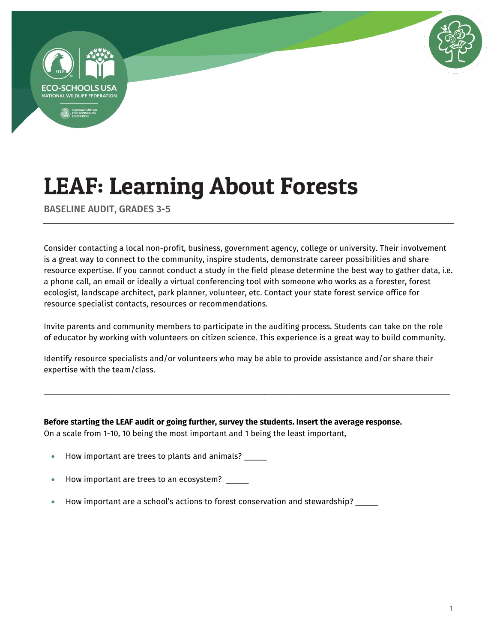



BASELINE AUDIT, GRADES 3-5

Consider contacting a local non-profit, business, government agency, college or university. Their involvement is a great way to connect to the community, inspire students, demonstrate career possibilities and share resource expertise. If you cannot conduct a study in the field please determine the best way to gather data, i.e. a phone call, an email or ideally a virtual conferencing tool with someone who works as a forester, forest ecologist, landscape architect, park planner, volunteer, etc. Contact your state forest service office for resource specialist contacts, resources or recommendations.

Invite parents and community members to participate in the auditing process. Students can take on the role of educator by working with volunteers on citizen science. This experience is a great way to build community.

Identify resource specialists and/or volunteers who may be able to provide assistance and/or share their expertise with the team/class.

\_\_\_\_\_\_\_\_\_\_\_\_\_\_\_\_\_\_\_\_\_\_\_\_\_\_\_\_\_\_\_\_\_\_\_\_\_\_\_\_\_\_\_\_\_\_\_\_\_\_\_\_\_\_\_\_\_\_\_\_\_\_\_\_\_\_\_\_\_\_\_\_\_\_\_\_\_\_\_\_\_\_\_\_\_\_\_\_\_\_

**Before starting the LEAF audit or going further, survey the students. Insert the average response.**  On a scale from 1-10, 10 being the most important and 1 being the least important,

- How important are trees to plants and animals?
- How important are trees to an ecosystem?
- How important are a school's actions to forest conservation and stewardship? \_\_\_\_\_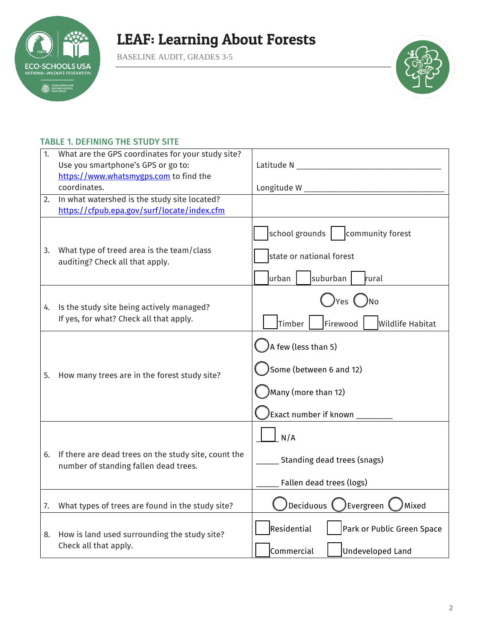

BASELINE AUDIT, GRADES 3-5



### TABLE 1. DEFINING THE STUDY SITE

| 1. | What are the GPS coordinates for your study site?                                             |                                                                                                              |
|----|-----------------------------------------------------------------------------------------------|--------------------------------------------------------------------------------------------------------------|
|    | Use you smartphone's GPS or go to:                                                            | Latitude N __                                                                                                |
|    | https://www.whatsmygps.com to find the                                                        |                                                                                                              |
|    | coordinates.                                                                                  |                                                                                                              |
| 2. | In what watershed is the study site located?                                                  |                                                                                                              |
|    | https://cfpub.epa.gov/surf/locate/index.cfm                                                   |                                                                                                              |
| 3. | What type of treed area is the team/class<br>auditing? Check all that apply.                  | school grounds<br>community forest<br>state or national forest<br>suburban<br>urban<br>rural                 |
| 4. | Is the study site being actively managed?<br>If yes, for what? Check all that apply.          | ) Yes ( ) No<br>Timber <sup>1</sup><br>Firewood<br><b>Wildlife Habitat</b>                                   |
| 5. | How many trees are in the forest study site?                                                  | $\lambda$ few (less than 5)<br>Some (between 6 and 12)<br>Many (more than 12)<br>Exact number if known _____ |
| 6. | If there are dead trees on the study site, count the<br>number of standing fallen dead trees. | N/A<br>Standing dead trees (snags)<br>Fallen dead trees (logs)                                               |
| 7. | What types of trees are found in the study site?                                              | )Deciduous <b>(</b><br>Evergreen (<br>Mixed                                                                  |
| 8. | How is land used surrounding the study site?<br>Check all that apply.                         | Residential<br>Park or Public Green Space<br>Commercial<br><b>Undeveloped Land</b>                           |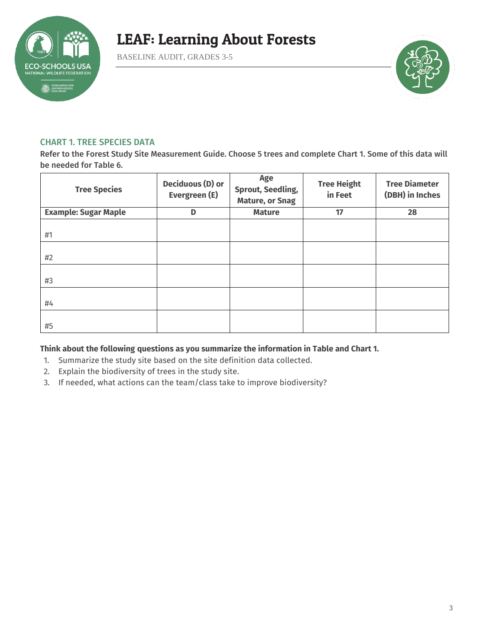

BASELINE AUDIT, GRADES 3-5



#### CHART 1. TREE SPECIES DATA

Refer to the Forest Study Site Measurement Guide. Choose 5 trees and complete Chart 1. Some of this data will be needed for Table 6.

| <b>Tree Species</b>         | <b>Deciduous (D) or</b><br>Evergreen (E) | Age<br><b>Sprout, Seedling,</b><br><b>Mature, or Snag</b> | <b>Tree Height</b><br>in Feet | <b>Tree Diameter</b><br>(DBH) in Inches |
|-----------------------------|------------------------------------------|-----------------------------------------------------------|-------------------------------|-----------------------------------------|
| <b>Example: Sugar Maple</b> | D                                        | <b>Mature</b>                                             | 17                            | 28                                      |
| #1                          |                                          |                                                           |                               |                                         |
| #2                          |                                          |                                                           |                               |                                         |
| #3                          |                                          |                                                           |                               |                                         |
| #4                          |                                          |                                                           |                               |                                         |
| #5                          |                                          |                                                           |                               |                                         |

#### **Think about the following questions as you summarize the information in Table and Chart 1.**

- 1. Summarize the study site based on the site definition data collected.
- 2. Explain the biodiversity of trees in the study site.
- 3. If needed, what actions can the team/class take to improve biodiversity?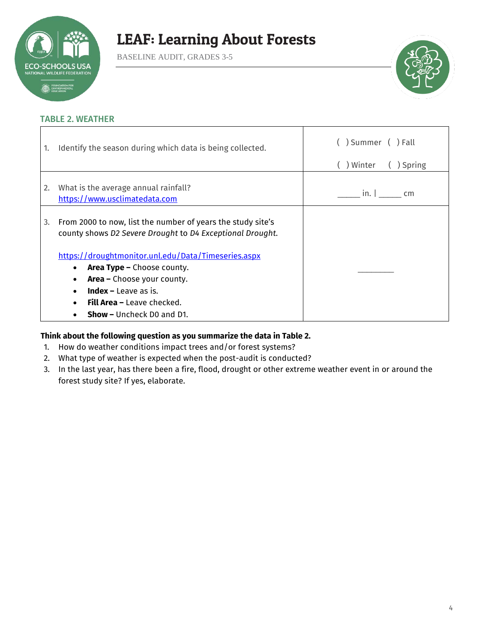

BASELINE AUDIT, GRADES 3-5



#### TABLE 2. WEATHER

| 1. | Identify the season during which data is being collected.                                                                                                                                                                                        | ) Summer ( )Fall       |
|----|--------------------------------------------------------------------------------------------------------------------------------------------------------------------------------------------------------------------------------------------------|------------------------|
|    |                                                                                                                                                                                                                                                  | ) Winter<br>( ) Spring |
| 2. | What is the average annual rainfall?<br>https://www.usclimatedata.com                                                                                                                                                                            | in. $\vdash$<br>cm     |
| 3. | From 2000 to now, list the number of years the study site's<br>county shows D2 Severe Drought to D4 Exceptional Drought.                                                                                                                         |                        |
|    | https://droughtmonitor.unl.edu/Data/Timeseries.aspx<br>Area Type - Choose county.<br><b>Area -</b> Choose your county.<br>٠<br><b>Index</b> – Leave as is.<br>$\bullet$<br><b>Fill Area -</b> Leave checked.<br><b>Show - Uncheck DO and D1.</b> |                        |

### **Think about the following question as you summarize the data in Table 2.**

- 1. How do weather conditions impact trees and/or forest systems?
- 2. What type of weather is expected when the post-audit is conducted?
- 3. In the last year, has there been a fire, flood, drought or other extreme weather event in or around the forest study site? If yes, elaborate.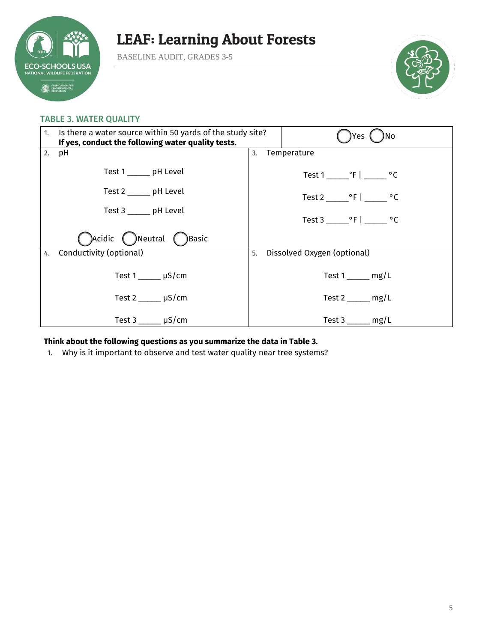

BASELINE AUDIT, GRADES 3-5



#### TABLE 3. WATER QUALITY

| Is there a water source within 50 yards of the study site?<br>1.<br>If yes, conduct the following water quality tests. |                              |                   | Yes<br>۱No                  |  |
|------------------------------------------------------------------------------------------------------------------------|------------------------------|-------------------|-----------------------------|--|
| 2.                                                                                                                     | рH                           | Temperature<br>3. |                             |  |
|                                                                                                                        | Test 1 pH Level              |                   |                             |  |
| Test 2 ______ pH Level<br>Test 3 ______ pH Level                                                                       |                              |                   | Test 2 °F   °C              |  |
|                                                                                                                        |                              |                   | Test 3 ºF   ºC              |  |
|                                                                                                                        | Acidic ( ) Neutral ( ) Basic |                   |                             |  |
| 4.                                                                                                                     | Conductivity (optional)      | 5.                | Dissolved Oxygen (optional) |  |
|                                                                                                                        | Test 1 $\mu$ S/cm            |                   | $Test 1$ mg/L               |  |
| Test 2 $\mu$ S/cm                                                                                                      |                              |                   | Test $2 \qquad mg/L$        |  |
|                                                                                                                        | Test $3 \mu S/cm$            |                   | $Test 3$ mg/L               |  |

**Think about the following questions as you summarize the data in Table 3.** 

1. Why is it important to observe and test water quality near tree systems?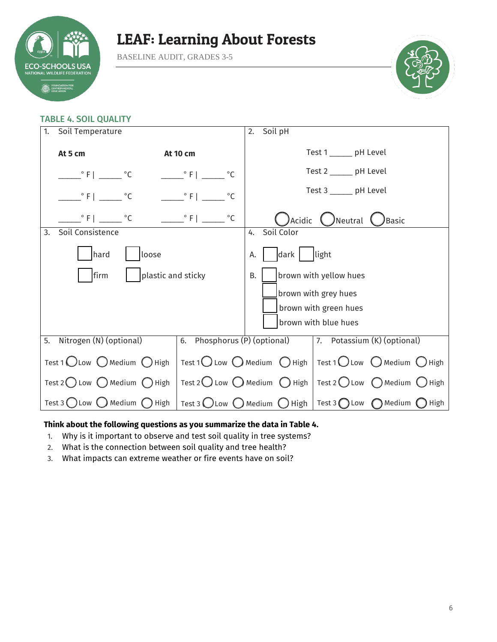

BASELINE AUDIT, GRADES 3-5



### TABLE 4. SOIL QUALITY

| Soil Temperature<br>1.                                  |                                                                             |                               | Soil pH<br>2.                                                                                                     |  |  |  |
|---------------------------------------------------------|-----------------------------------------------------------------------------|-------------------------------|-------------------------------------------------------------------------------------------------------------------|--|--|--|
|                                                         | At 5 cm                                                                     | <b>At 10 cm</b>               | Test 1 ______ pH Level                                                                                            |  |  |  |
|                                                         | $\degree$ F $\degree$ C                                                     | $^{\circ}$ F  <br>$^{\circ}C$ | Test 2 ______ pH Level                                                                                            |  |  |  |
|                                                         | $^{\circ}$ C<br>$\overline{\phantom{a}}^{\circ}$ F $\overline{\phantom{a}}$ | $\degree$ F  <br>$^{\circ}$ C | Test 3 ______ pH Level                                                                                            |  |  |  |
|                                                         | $^{\circ}$ F   $^{\circ}$ C                                                 | $^{\circ}$ C                  | Acidic<br>( )Neutral<br><b>Basic</b>                                                                              |  |  |  |
| Soil Consistence<br>3.                                  |                                                                             |                               | Soil Color<br>4.                                                                                                  |  |  |  |
|                                                         | hard<br>loose                                                               |                               | light<br>dark<br>А.                                                                                               |  |  |  |
| plastic and sticky<br>firm                              |                                                                             |                               | brown with yellow hues<br><b>B.</b>                                                                               |  |  |  |
|                                                         |                                                                             |                               | brown with grey hues                                                                                              |  |  |  |
|                                                         |                                                                             |                               | brown with green hues                                                                                             |  |  |  |
|                                                         |                                                                             |                               | brown with blue hues                                                                                              |  |  |  |
| Nitrogen (N) (optional)<br>5.<br>6.                     |                                                                             |                               | Phosphorus (P) (optional)<br>7. Potassium (K) (optional)                                                          |  |  |  |
| Test 1 OLow O Medium O High                             |                                                                             |                               | Test 1 $\bigcirc$ Low $\bigcirc$ Medium $\bigcirc$ High   Test 1 $\bigcirc$ Low $\bigcirc$ Medium $\bigcirc$ High |  |  |  |
| Test 2 Low $\bigcirc$ Medium $\bigcirc$ High            |                                                                             |                               | Test 2 Low $\bigcirc$ Medium $\bigcirc$ High   Test 2 $\bigcirc$ Low $\bigcirc$ Medium $\bigcirc$ High            |  |  |  |
| Test 3 $\bigcirc$ Low $\bigcirc$ Medium $\bigcirc$ High |                                                                             |                               | Test 3 ◯ Low ◯ Medium ◯ High   Test 3 ◯ Low ◯ Medium (<br>) High                                                  |  |  |  |

#### **Think about the following questions as you summarize the data in Table 4.**

- 1. Why is it important to observe and test soil quality in tree systems?
- 2. What is the connection between soil quality and tree health?
- 3. What impacts can extreme weather or fire events have on soil?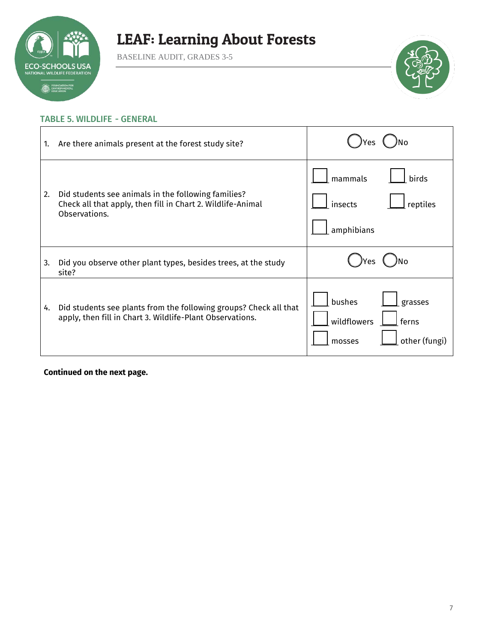

BASELINE AUDIT, GRADES 3-5



### TABLE 5. WILDLIFE - GENERAL

| 1. | Are there animals present at the forest study site?                                                                                 |                                                                      |
|----|-------------------------------------------------------------------------------------------------------------------------------------|----------------------------------------------------------------------|
| 2. | Did students see animals in the following families?<br>Check all that apply, then fill in Chart 2. Wildlife-Animal<br>Observations. | mammals<br>birds<br>insects<br>reptiles<br>amphibians                |
| 3. | Did you observe other plant types, besides trees, at the study<br>site?                                                             | /es                                                                  |
| 4. | Did students see plants from the following groups? Check all that<br>apply, then fill in Chart 3. Wildlife-Plant Observations.      | bushes<br>grasses<br>wildflowers<br>ferns<br>other (fungi)<br>mosses |

**Continued on the next page.**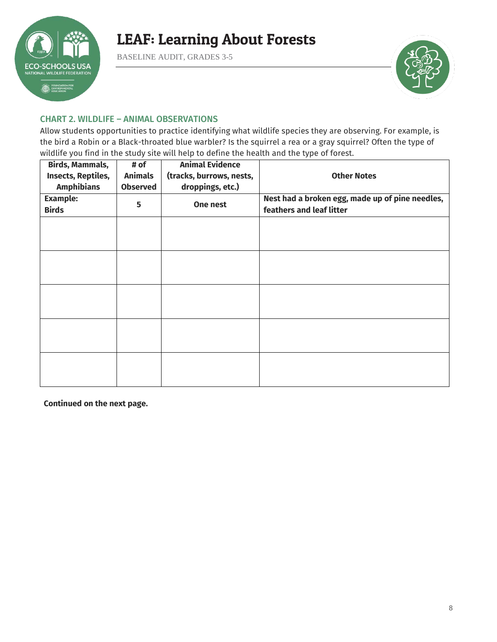

BASELINE AUDIT, GRADES 3-5



#### CHART 2. WILDLIFE – ANIMAL OBSERVATIONS

Allow students opportunities to practice identifying what wildlife species they are observing. For example, is the bird a Robin or a Black-throated blue warbler? Is the squirrel a rea or a gray squirrel? Often the type of wildlife you find in the study site will help to define the health and the type of forest.

| <b>Birds, Mammals,</b><br>Insects, Reptiles,<br><b>Amphibians</b> | # of<br><b>Animals</b><br><b>Observed</b> | <b>Animal Evidence</b><br>(tracks, burrows, nests,<br>droppings, etc.) | <b>Other Notes</b>                                                          |
|-------------------------------------------------------------------|-------------------------------------------|------------------------------------------------------------------------|-----------------------------------------------------------------------------|
| <b>Example:</b><br><b>Birds</b>                                   | 5                                         | One nest                                                               | Nest had a broken egg, made up of pine needles,<br>feathers and leaf litter |
|                                                                   |                                           |                                                                        |                                                                             |
|                                                                   |                                           |                                                                        |                                                                             |
|                                                                   |                                           |                                                                        |                                                                             |
|                                                                   |                                           |                                                                        |                                                                             |
|                                                                   |                                           |                                                                        |                                                                             |
|                                                                   |                                           |                                                                        |                                                                             |

**Continued on the next page.**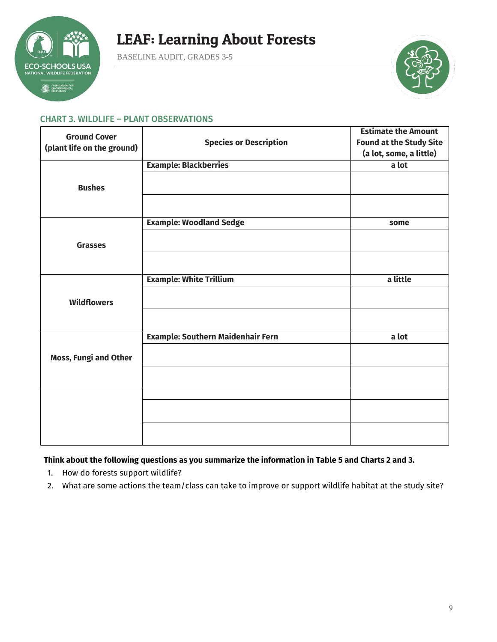

BASELINE AUDIT, GRADES 3-5



#### CHART 3. WILDLIFE – PLANT OBSERVATIONS

| <b>Ground Cover</b>          |                                          | <b>Estimate the Amount</b>     |
|------------------------------|------------------------------------------|--------------------------------|
|                              | <b>Species or Description</b>            | <b>Found at the Study Site</b> |
| (plant life on the ground)   |                                          | (a lot, some, a little)        |
|                              | <b>Example: Blackberries</b>             | a lot                          |
| <b>Bushes</b>                |                                          |                                |
|                              |                                          |                                |
|                              | <b>Example: Woodland Sedge</b>           | some                           |
| <b>Grasses</b>               |                                          |                                |
|                              |                                          |                                |
|                              | <b>Example: White Trillium</b>           | a little                       |
| <b>Wildflowers</b>           |                                          |                                |
|                              |                                          |                                |
|                              | <b>Example: Southern Maidenhair Fern</b> | a lot                          |
| <b>Moss, Fungi and Other</b> |                                          |                                |
|                              |                                          |                                |
|                              |                                          |                                |
|                              |                                          |                                |
|                              |                                          |                                |

### **Think about the following questions as you summarize the information in Table 5 and Charts 2 and 3.**

- 1. How do forests support wildlife?
- 2. What are some actions the team/class can take to improve or support wildlife habitat at the study site?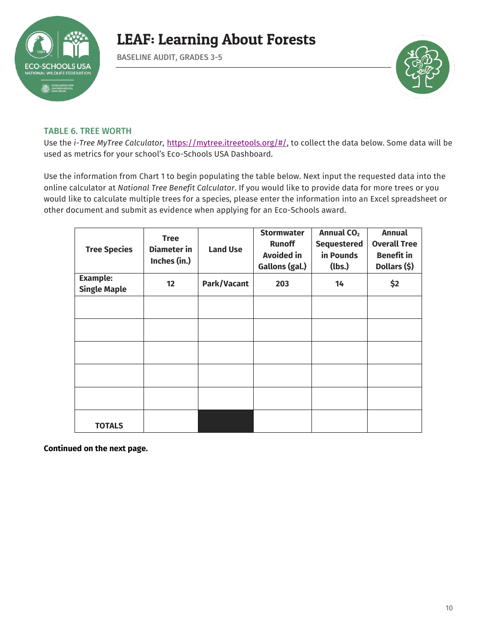

BASELINE AUDIT, GRADES 3-5



#### TABLE 6. TREE WORTH

Use the *i-Tree MyTree Calculator*, [https://mytree.itreetools.org/#/,](https://mytree.itreetools.org/#/) to collect the data below. Some data will be used as metrics for your school's Eco-Schools USA Dashboard.

Use the information from Chart 1 to begin populating the table below. Next input the requested data into the online calculator at *National Tree Benefit Calculator*. If you would like to provide data for more trees or you would like to calculate multiple trees for a species, please enter the information into an Excel spreadsheet or other document and submit as evidence when applying for an Eco-Schools award.

| <b>Tree Species</b>                    | <b>Tree</b><br>Diameter in<br>Inches (in.) | <b>Land Use</b> | <b>Stormwater</b><br><b>Runoff</b><br><b>Avoided in</b><br>Gallons (gal.) | <b>Annual CO<sub>2</sub></b><br><b>Sequestered</b><br>in Pounds<br>(lbs.) | <b>Annual</b><br><b>Overall Tree</b><br><b>Benefit</b> in<br>Dollars (\$) |
|----------------------------------------|--------------------------------------------|-----------------|---------------------------------------------------------------------------|---------------------------------------------------------------------------|---------------------------------------------------------------------------|
| <b>Example:</b><br><b>Single Maple</b> | 12                                         | Park/Vacant     | 203                                                                       | 14                                                                        | \$2                                                                       |
|                                        |                                            |                 |                                                                           |                                                                           |                                                                           |
|                                        |                                            |                 |                                                                           |                                                                           |                                                                           |
|                                        |                                            |                 |                                                                           |                                                                           |                                                                           |
|                                        |                                            |                 |                                                                           |                                                                           |                                                                           |
|                                        |                                            |                 |                                                                           |                                                                           |                                                                           |
| <b>TOTALS</b>                          |                                            |                 |                                                                           |                                                                           |                                                                           |

**Continued on the next page.**